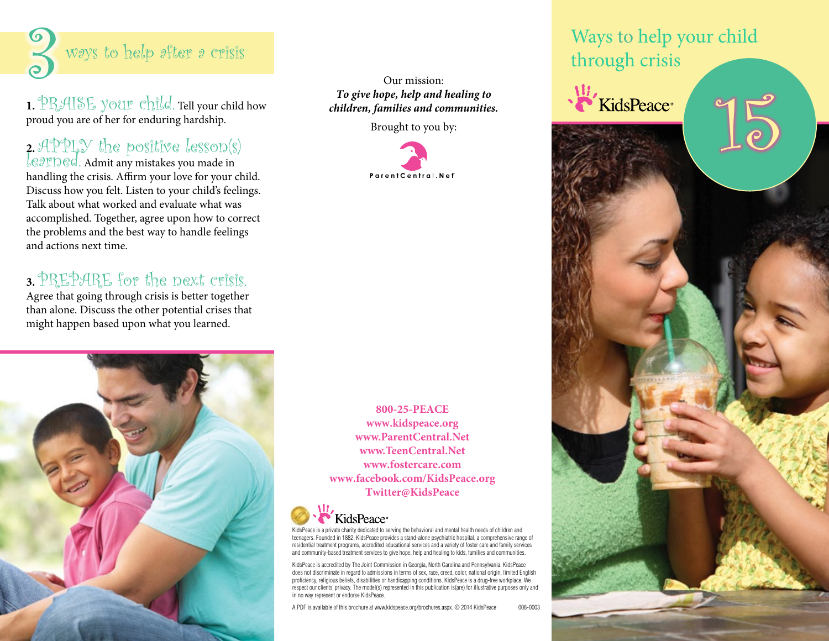

1. PRAISE your child. Tell your child how proud you are of her for enduring hardship.

# **2.** APPLY the positive lesson(s)

learned. Admit any mistakes you made in handling the crisis. Affirm your love for your child. Discuss how you felt. Listen to your child's feelings. Talk about what worked and evaluate what was accomplished. Together, agree upon how to correct the problems and the best way to handle feelings and actions next time.

### **3.** PREPARE for the next crisis.

Agree that going through crisis is better together than alone. Discuss the other potential crises that might happen based upon what you learned.



Our mission: *To give hope, help and healing to children, families and communities.*  hope, help and healing to<br>families and communities.<br>Brought to you by:



**800-25-PEACE www.kidspeace.org www.ParentCentral.Net www.TeenCentral.Net www.fostercare.com www.facebook.com/KidsPeace.org Twitter@KidsPeace**



KidsPeace is a private charity dedicated to serving the behavioral and mental health needs of children and teenagers. Founded in 1882, KidsPeace provides a stand-alone psychiatric hospital, a comprehensive range of residential treatment programs, accredited educational services and a variety of foster care and family services and community-based treatment services to give hope, help and healing to kids, families and communities.

KidsPeace is accredited by The Joint Commission in Georgia, North Carolina and Pennsylvania. KidsPeace does not discriminate in regard to admissions in terms of sex, race, creed, color, national origin, limited English proficiency, religious beliefs, disabilities or handicapping conditions. KidsPeace is a drug-free workplace. We respect our clients' privacy. The model(s) represented in this publication is(are) for illustrative purposes only and in no way represent or endorse KidsPeace.

A PDF is available of this brochure at www.kidspeace.org/brochures.aspx. © 2014 KidsPeace 008-0003